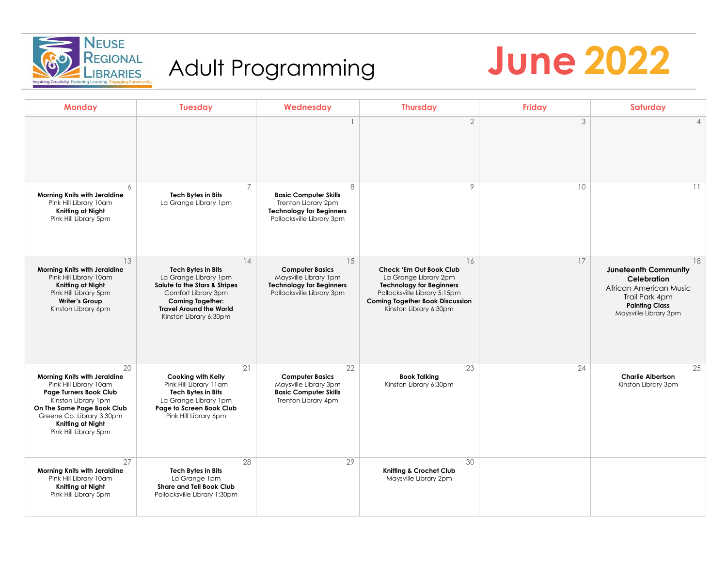

# Adult Programming



| <b>Monday</b>                                                                                                                                                                                                                 | <b>Tuesday</b>                                                                                                                                                                                          | Wednesday                                                                                                                | <b>Thursday</b>                                                                                                                                                                               | <b>Friday</b> | Saturday                                                                                                                                       |
|-------------------------------------------------------------------------------------------------------------------------------------------------------------------------------------------------------------------------------|---------------------------------------------------------------------------------------------------------------------------------------------------------------------------------------------------------|--------------------------------------------------------------------------------------------------------------------------|-----------------------------------------------------------------------------------------------------------------------------------------------------------------------------------------------|---------------|------------------------------------------------------------------------------------------------------------------------------------------------|
|                                                                                                                                                                                                                               |                                                                                                                                                                                                         |                                                                                                                          | $\overline{2}$                                                                                                                                                                                | 3             | $\overline{4}$                                                                                                                                 |
| 6<br>Morning Knits with Jeraldine<br>Pink Hill Library 10am<br>Knitting at Night<br>Pink Hill Library 5pm                                                                                                                     | $\overline{7}$<br><b>Tech Bytes in Bits</b><br>La Grange Library 1pm                                                                                                                                    | 8<br><b>Basic Computer Skills</b><br>Trenton Library 2pm<br><b>Technology for Beginners</b><br>Pollocksville Library 3pm | 9                                                                                                                                                                                             | 10            | 11                                                                                                                                             |
| 13<br>Morning Knits with Jeraldine<br>Pink Hill Library 10am<br>Knitting at Night<br>Pink Hill Library 5pm<br><b>Writer's Group</b><br>Kinston Library 6pm                                                                    | 14<br><b>Tech Bytes in Bits</b><br>La Grange Library 1pm<br>Salute to the Stars & Stripes<br>Comfort Library 3pm<br><b>Coming Together:</b><br><b>Travel Around the World</b><br>Kinston Library 6:30pm | 15<br><b>Computer Basics</b><br>Maysville Library 1pm<br><b>Technology for Beginners</b><br>Pollocksville Library 3pm    | 16<br>Check 'Em Out Book Club<br>La Grange Library 2pm<br><b>Technology for Beginners</b><br>Pollocksville Library 5:15pm<br><b>Coming Together Book Discussion</b><br>Kinston Library 6:30pm | 17            | 18<br><b>Juneteenth Community</b><br>Celebration<br>African American Music<br>Trail Park 4pm<br><b>Painting Class</b><br>Maysville Library 3pm |
| 20<br>Morning Knits with Jeraldine<br>Pink Hill Library 10am<br><b>Page Turners Book Club</b><br>Kinston Library 1pm<br>On The Same Page Book Club<br>Greene Co. Library 3:30pm<br>Knitting at Night<br>Pink Hill Library 5pm | 21<br>Cooking with Kelly<br>Pink Hill Library 11am<br><b>Tech Bytes in Bits</b><br>La Grange Library 1pm<br>Page to Screen Book Club<br>Pink Hill Library 6pm                                           | 22<br><b>Computer Basics</b><br>Maysville Library 3pm<br><b>Basic Computer Skills</b><br>Trenton Library 4pm             | 23<br><b>Book Talking</b><br>Kinston Library 6:30pm                                                                                                                                           | 24            | 25<br><b>Charlie Albertson</b><br>Kinston Library 3pm                                                                                          |
| 27<br>Morning Knits with Jeraldine<br>Pink Hill Library 10am<br>Knitting at Night<br>Pink Hill Library 5pm                                                                                                                    | 28<br><b>Tech Bytes in Bits</b><br>La Grange Ipm<br>Share and Tell Book Club<br>Pollocksville Library 1:30pm                                                                                            | 29                                                                                                                       | 30<br>Knitting & Crochet Club<br>Maysville Library 2pm                                                                                                                                        |               |                                                                                                                                                |